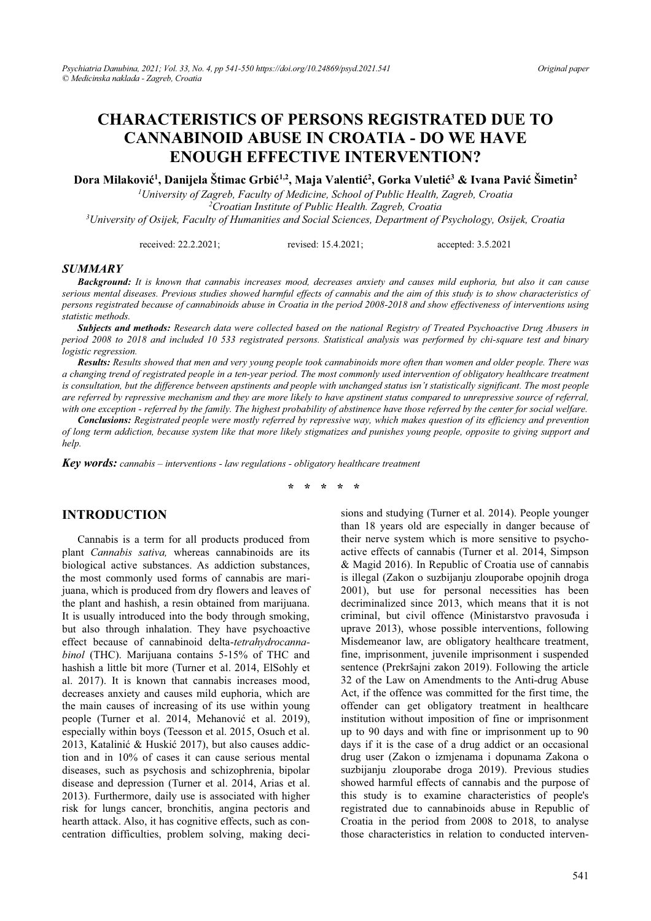# **CHARACTERISTICS OF PERSONS REGISTRATED DUE TO CANNABINOID ABUSE IN CROATIA - DO WE HAVE ENOUGH EFFECTIVE INTERVENTION?**

 $\mathbf{D}\mathbf{ora}$  Milaković<sup>1</sup>, Danijela Štimac Grbić<sup>1,2</sup>, Maja Valentić<sup>2</sup>, Gorka Vuletić<sup>3</sup> & Ivana Pavić Šimetin<sup>2</sup>

*1 University of Zagreb, Faculty of Medicine, School of Public Health, Zagreb, Croatia 2 Croatian Institute of Public Health. Zagreb, Croatia 3 University of Osijek, Faculty of Humanities and Social Sciences, Department of Psychology, Osijek, Croatia* 

received: 22.2.2021; revised: 15.4.2021; accepted: 3.5.2021

#### *SUMMARY*

*Background: It is known that cannabis increases mood, decreases anxiety and causes mild euphoria, but also it can cause serious mental diseases. Previous studies showed harmful effects of cannabis and the aim of this study is to show characteristics of persons registrated because of cannabinoids abuse in Croatia in the period 2008-2018 and show effectiveness of interventions using statistic methods.* 

*Subjects and methods: Research data were collected based on the national Registry of Treated Psychoactive Drug Abusers in period 2008 to 2018 and included 10 533 registrated persons. Statistical analysis was performed by chi-square test and binary logistic regression.* 

*Results: Results showed that men and very young people took cannabinoids more often than women and older people. There was a changing trend of registrated people in a ten-year period. The most commonly used intervention of obligatory healthcare treatment is consultation, but the difference between apstinents and people with unchanged status isn't statistically significant. The most people are referred by repressive mechanism and they are more likely to have apstinent status compared to unrepressive source of referral, with one exception - referred by the family. The highest probability of abstinence have those referred by the center for social welfare.* 

*Conclusions: Registrated people were mostly referred by repressive way, which makes question of its efficiency and prevention of long term addiction, because system like that more likely stigmatizes and punishes young people, opposite to giving support and help.* 

*Key words: cannabis – interventions - law regulations - obligatory healthcare treatment* 

#### **\* \* \* \* \***

### **INTRODUCTION**

Cannabis is a term for all products produced from plant *Cannabis sativa,* whereas cannabinoids are its biological active substances. As addiction substances, the most commonly used forms of cannabis are marijuana, which is produced from dry flowers and leaves of the plant and hashish, a resin obtained from marijuana. It is usually introduced into the body through smoking, but also through inhalation. They have psychoactive effect because of cannabinoid delta-*tetrahydrocannabinol* (THC). Marijuana contains 5-15% of THC and hashish a little bit more (Turner et al. 2014, ElSohly et al. 2017). It is known that cannabis increases mood, decreases anxiety and causes mild euphoria, which are the main causes of increasing of its use within young people (Turner et al. 2014, Mehanović et al. 2019), especially within boys (Teesson et al. 2015, Osuch et al. 2013, Katalinić & Huskić 2017), but also causes addiction and in 10% of cases it can cause serious mental diseases, such as psychosis and schizophrenia, bipolar disease and depression (Turner et al. 2014, Arias et al. 2013). Furthermore, daily use is associated with higher risk for lungs cancer, bronchitis, angina pectoris and hearth attack. Also, it has cognitive effects, such as concentration difficulties, problem solving, making decisions and studying (Turner et al. 2014). People younger than 18 years old are especially in danger because of their nerve system which is more sensitive to psychoactive effects of cannabis (Turner et al. 2014, Simpson & Magid 2016). In Republic of Croatia use of cannabis is illegal (Zakon o suzbijanju zlouporabe opojnih droga 2001), but use for personal necessities has been decriminalized since 2013, which means that it is not criminal, but civil offence (Ministarstvo pravosuđa i uprave 2013), whose possible interventions, following Misdemeanor law, are obligatory healthcare treatment, fine, imprisonment, juvenile imprisonment i suspended sentence (Prekršajni zakon 2019). Following the article 32 of the Law on Amendments to the Anti-drug Abuse Act, if the offence was committed for the first time, the offender can get obligatory treatment in healthcare institution without imposition of fine or imprisonment up to 90 days and with fine or imprisonment up to 90 days if it is the case of a drug addict or an occasional drug user (Zakon o izmjenama i dopunama Zakona o suzbijanju zlouporabe droga 2019). Previous studies showed harmful effects of cannabis and the purpose of this study is to examine characteristics of people's registrated due to cannabinoids abuse in Republic of Croatia in the period from 2008 to 2018, to analyse those characteristics in relation to conducted interven-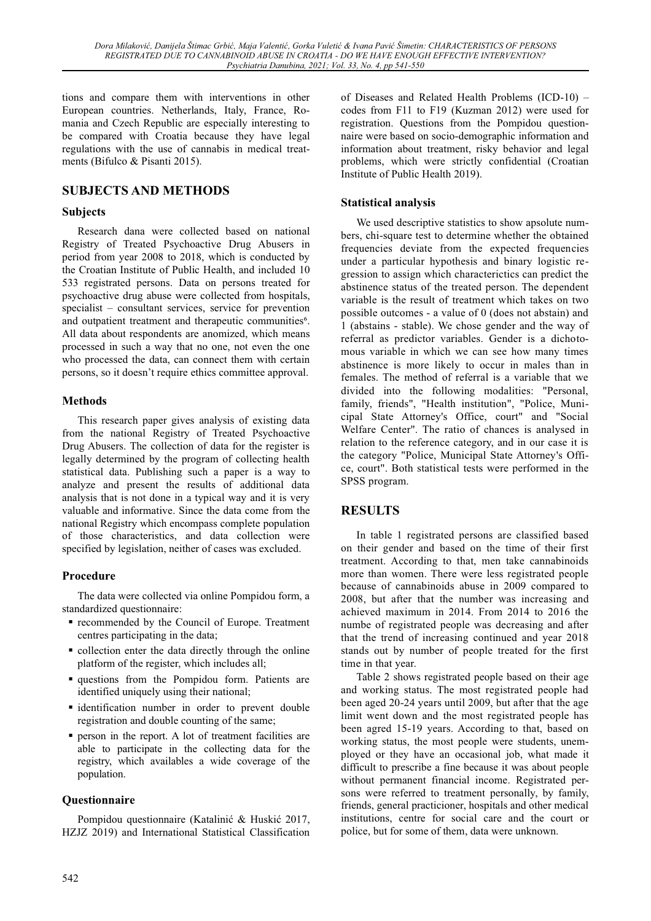tions and compare them with interventions in other European countries. Netherlands, Italy, France, Romania and Czech Republic are especially interesting to be compared with Croatia because they have legal regulations with the use of cannabis in medical treatments (Bifulco & Pisanti 2015).

### **SUBJECTS AND METHODS**

#### **Subjects**

Research dana were collected based on national Registry of Treated Psychoactive Drug Abusers in period from year 2008 to 2018, which is conducted by the Croatian Institute of Public Health, and included 10 533 registrated persons. Data on persons treated for psychoactive drug abuse were collected from hospitals,  $specialist - consultant$  services, service for prevention and outpatient treatment and therapeutic communities<sup>6</sup>. All data about respondents are anomized, which means processed in such a way that no one, not even the one who processed the data, can connect them with certain persons, so it doesn't require ethics committee approval.

#### **Methods**

This research paper gives analysis of existing data from the national Registry of Treated Psychoactive Drug Abusers. The collection of data for the register is legally determined by the program of collecting health statistical data. Publishing such a paper is a way to analyze and present the results of additional data analysis that is not done in a typical way and it is very valuable and informative. Since the data come from the national Registry which encompass complete population of those characteristics, and data collection were specified by legislation, neither of cases was excluded.

#### **Procedure**

The data were collected via online Pompidou form, a standardized questionnaire:

- recommended by the Council of Europe. Treatment centres participating in the data;
- collection enter the data directly through the online platform of the register, which includes all;
- questions from the Pompidou form. Patients are identified uniquely using their national;
- identification number in order to prevent double registration and double counting of the same;
- person in the report. A lot of treatment facilities are able to participate in the collecting data for the registry, which availables a wide coverage of the population.

### **Questionnaire**

Pompidou questionnaire (Katalinić & Huskić 2017, HZJZ 2019) and International Statistical Classification of Diseases and Related Health Problems  $(ICD-10)$  – codes from F11 to F19 (Kuzman 2012) were used for registration. Questions from the Pompidou questionnaire were based on socio-demographic information and information about treatment, risky behavior and legal problems, which were strictly confidential (Croatian Institute of Public Health 2019).

#### **Statistical analysis**

We used descriptive statistics to show apsolute numbers, chi-square test to determine whether the obtained frequencies deviate from the expected frequencies under a particular hypothesis and binary logistic regression to assign which characterictics can predict the abstinence status of the treated person. The dependent variable is the result of treatment which takes on two possible outcomes - a value of 0 (does not abstain) and 1 (abstains - stable). We chose gender and the way of referral as predictor variables. Gender is a dichotomous variable in which we can see how many times abstinence is more likely to occur in males than in females. The method of referral is a variable that we divided into the following modalities: "Personal, family, friends", "Health institution", "Police, Municipal State Attorney's Office, court" and "Social Welfare Center". The ratio of chances is analysed in relation to the reference category, and in our case it is the category "Police, Municipal State Attorney's Office, court". Both statistical tests were performed in the SPSS program.

### **RESULTS**

In table 1 registrated persons are classified based on their gender and based on the time of their first treatment. According to that, men take cannabinoids more than women. There were less registrated people because of cannabinoids abuse in 2009 compared to 2008, but after that the number was increasing and achieved maximum in 2014. From 2014 to 2016 the numbe of registrated people was decreasing and after that the trend of increasing continued and year 2018 stands out by number of people treated for the first time in that year.

Table 2 shows registrated people based on their age and working status. The most registrated people had been aged 20-24 years until 2009, but after that the age limit went down and the most registrated people has been agred 15-19 years. According to that, based on working status, the most people were students, unemployed or they have an occasional job, what made it difficult to prescribe a fine because it was about people without permanent financial income. Registrated persons were referred to treatment personally, by family, friends, general practicioner, hospitals and other medical institutions, centre for social care and the court or police, but for some of them, data were unknown.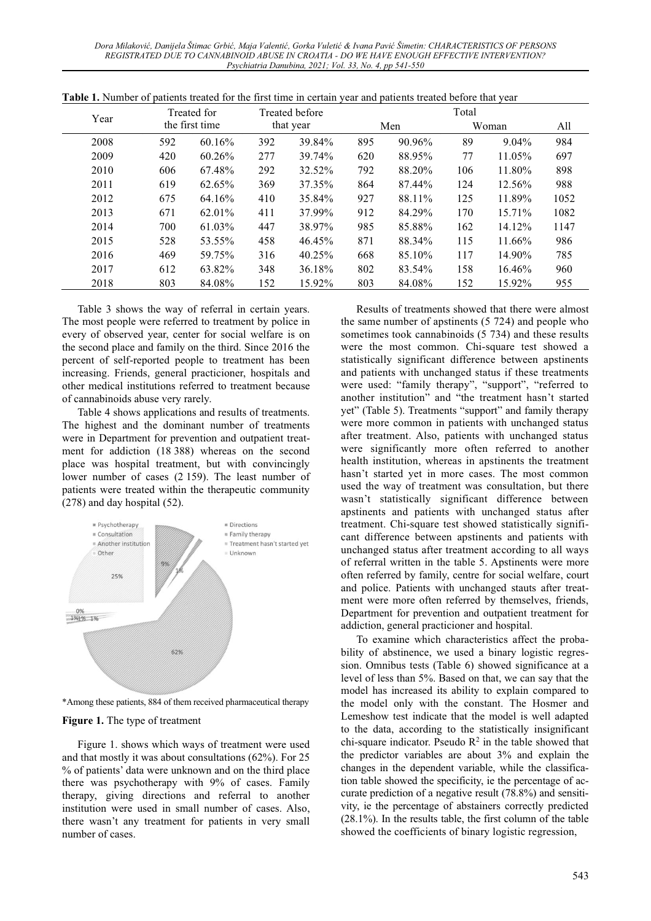*Dora MilDNRYLü'DQLMHODâWLPDF\*UELü, Maja ValenWLü, Gorka VuletLü & ,YDQD3DYLüâimetin: CHARACTERISTICS OF PERSONS REGISTRATED DUE TO CANNABINOID ABUSE IN CROATIA - DO WE HAVE ENOUGH EFFECTIVE INTERVENTION? Psychiatria Danubina, 2021; Vol. 33, No. 4, pp 541-550* 

| Year |     | Treated for    |     | <b>Treated before</b> |     |        | Total |          |      |
|------|-----|----------------|-----|-----------------------|-----|--------|-------|----------|------|
|      |     | the first time |     | that year             |     | Men    |       | Woman    | All  |
| 2008 | 592 | 60.16%         | 392 | 39.84%                | 895 | 90.96% | 89    | $9.04\%$ | 984  |
| 2009 | 420 | 60.26%         | 277 | 39.74%                | 620 | 88.95% | 77    | 11.05%   | 697  |
| 2010 | 606 | 67.48%         | 292 | 32.52%                | 792 | 88.20% | 106   | 11.80%   | 898  |
| 2011 | 619 | 62.65%         | 369 | 37.35%                | 864 | 87.44% | 124   | 12.56%   | 988  |
| 2012 | 675 | 64.16%         | 410 | 35.84%                | 927 | 88.11% | 125   | 11.89%   | 1052 |
| 2013 | 671 | 62.01%         | 411 | 37.99%                | 912 | 84.29% | 170   | 15.71%   | 1082 |
| 2014 | 700 | 61.03%         | 447 | 38.97%                | 985 | 85.88% | 162   | 14.12%   | 1147 |
| 2015 | 528 | 53.55%         | 458 | 46.45%                | 871 | 88.34% | 115   | 11.66%   | 986  |
| 2016 | 469 | 59.75%         | 316 | $40.25\%$             | 668 | 85.10% | 117   | 14.90%   | 785  |
| 2017 | 612 | 63.82%         | 348 | 36.18%                | 802 | 83.54% | 158   | 16.46%   | 960  |
| 2018 | 803 | 84.08%         | 152 | 15.92%                | 803 | 84.08% | 152   | 15.92%   | 955  |

**Table 1.** Number of patients treated for the first time in certain year and patients treated before that year

Table 3 shows the way of referral in certain years. The most people were referred to treatment by police in every of observed year, center for social welfare is on the second place and family on the third. Since 2016 the percent of self-reported people to treatment has been increasing. Friends, general practicioner, hospitals and other medical institutions referred to treatment because of cannabinoids abuse very rarely.

Table 4 shows applications and results of treatments. The highest and the dominant number of treatments were in Department for prevention and outpatient treatment for addiction (18 388) whereas on the second place was hospital treatment, but with convincingly lower number of cases (2 159). The least number of patients were treated within the therapeutic community (278) and day hospital (52).



\*Among these patients, 884 of them received pharmaceutical therapy

#### **Figure 1.** The type of treatment

Figure 1. shows which ways of treatment were used and that mostly it was about consultations (62%). For 25  $%$  of patients' data were unknown and on the third place there was psychotherapy with 9% of cases. Family therapy, giving directions and referral to another institution were used in small number of cases. Also, there wasn't any treatment for patients in very small number of cases.

Results of treatments showed that there were almost the same number of apstinents (5 724) and people who sometimes took cannabinoids (5 734) and these results were the most common. Chi-square test showed a statistically significant difference between apstinents and patients with unchanged status if these treatments were used: "family therapy", "support", "referred to another institution" and "the treatment hasn't started yet" (Table 5). Treatments "support" and family therapy were more common in patients with unchanged status after treatment. Also, patients with unchanged status were significantly more often referred to another health institution, whereas in apstinents the treatment hasn't started yet in more cases. The most common used the way of treatment was consultation, but there wasn't statistically significant difference between apstinents and patients with unchanged status after treatment. Chi-square test showed statistically significant difference between apstinents and patients with unchanged status after treatment according to all ways of referral written in the table 5. Apstinents were more often referred by family, centre for social welfare, court and police. Patients with unchanged stauts after treatment were more often referred by themselves, friends, Department for prevention and outpatient treatment for addiction, general practicioner and hospital.

To examine which characteristics affect the probability of abstinence, we used a binary logistic regression. Omnibus tests (Table 6) showed significance at a level of less than 5%. Based on that, we can say that the model has increased its ability to explain compared to the model only with the constant. The Hosmer and Lemeshow test indicate that the model is well adapted to the data, according to the statistically insignificant chi-square indicator. Pseudo  $\mathbb{R}^2$  in the table showed that the predictor variables are about 3% and explain the changes in the dependent variable, while the classification table showed the specificity, ie the percentage of accurate prediction of a negative result (78.8%) and sensitivity, ie the percentage of abstainers correctly predicted (28.1%). In the results table, the first column of the table showed the coefficients of binary logistic regression,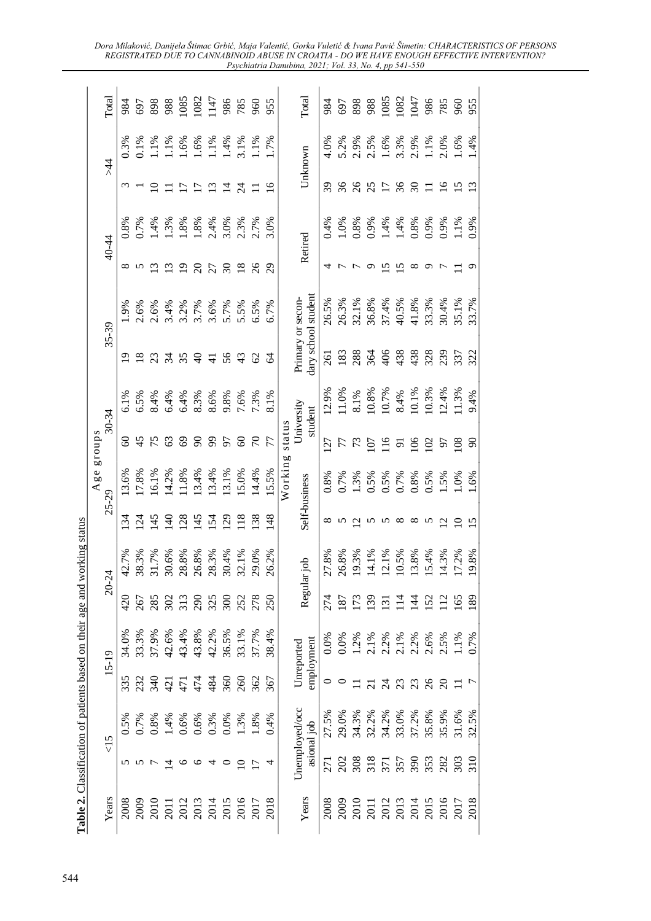|                                                                    | Table 2. Classification of patients based on their age and working status |  |                          |                  |                 |                        |                  |                                          |                 |                 |                 |               |                     |
|--------------------------------------------------------------------|---------------------------------------------------------------------------|--|--------------------------|------------------|-----------------|------------------------|------------------|------------------------------------------|-----------------|-----------------|-----------------|---------------|---------------------|
| 20-24                                                              |                                                                           |  |                          | Age<br>$25 - 29$ | groups          | 30-34                  |                  | 35-39                                    |                 | 40-44           |                 | $\frac{4}{3}$ | Total               |
| 42.7%<br>420<br>34.0%                                              |                                                                           |  | $\mathcal{L}$            | .3.6%            | 8               | 6.1%                   | ᡡ                | $0.9\%$                                  | ∞               | 0.8%            | $\omega$        | 0.3%          | 984                 |
| 38.3%<br>267<br>33.3%                                              |                                                                           |  | $\mathcal{L}$            | 17.8%            | 45              | 6.5%                   | $\frac{8}{18}$   | 2.6%                                     | $5\degree$      | 0.7%            |                 | $0.1\%$       | 697                 |
| 31.7%<br>285<br>37.9%                                              |                                                                           |  | $\overline{5}$           | 16.1%            | 75              | 8.4%                   | 23               | 2.6%                                     |                 | 1.4%            | $\overline{10}$ |               | 898                 |
| 30.6%<br>42.6%                                                     |                                                                           |  | $\Xi$                    | 14.2%            | 63              | 6.4%                   | 34               |                                          | $\mathfrak{L}$  | 1.3%            | $\Xi$           | 1.1%<br>1.1%  | 988<br>1085         |
| 28.8%<br>$\frac{20}{313}$<br>43.4%                                 |                                                                           |  | $\overline{28}$          | 11.8%            | 69              | 6.4%                   | 35               | $3.4\%$<br>$3.2\%$                       | $\overline{1}$  | 1.8%            | $\overline{17}$ | 1.6%          |                     |
| 26.8%<br>290<br>325<br>300<br>43.8%                                |                                                                           |  | $\overline{45}$          | 13.4%            | $\infty$        | 8.3%                   | $\overline{a}$   | 3.7%                                     | $\Omega$        | 1.8%            | Ξ               | 1.6%          | 1082<br>1147<br>986 |
| 28.3%<br>42.2%                                                     |                                                                           |  | 154                      | 13.4%            | 99              | 8.6%                   | $\overline{4}$   | 3.6%<br>5.7%                             | 27              | 2.4%            | $\mathfrak{S}$  | 1.1%          |                     |
| 30.4%                                                              |                                                                           |  | $\overline{5}$           | 13.1%            | 57              | 9.8%                   | 56               |                                          | $\mathfrak{S}$  | 3.0%            | 그               | 1.4%          |                     |
| 32.1%<br>252<br>278<br>36.5%<br>33.1%                              |                                                                           |  | $\overline{18}$          | 15.0%            | 8               | 7.6%                   | $\frac{4}{3}$    | 5.5%                                     | $\overline{18}$ | 2.3%            |                 | 3.1%          | 785                 |
| 29.0%<br>37.7%                                                     |                                                                           |  | <b>38</b>                | 14.4%            | $\mathcal{L}$   | 7.3%                   | 62               | 6.5%                                     | $\delta$        | 2.7%            |                 | 1.1%          | 960                 |
| 26.2%<br>250<br>38.4%                                              |                                                                           |  | $\frac{8}{4}$            | 15.5%            |                 | 8.1%                   | ु                | 6.7%                                     | $\overline{29}$ | 3.0%            | $\mathbf{S}$    | 1.7%          | 955                 |
|                                                                    |                                                                           |  |                          | Working          | status          |                        |                  |                                          |                 |                 |                 |               |                     |
| dor<br>Regular<br>employment<br>Unreported                         |                                                                           |  |                          | Self-business    |                 | University<br>student  |                  | dary school student<br>Primary or secon- |                 | Retired         |                 | Unknown       | Total               |
| 27.8%<br>274<br>0.0%                                               |                                                                           |  | $\infty$                 | 0.8%             | $\overline{27}$ | 12.9%                  | $\overline{261}$ | 26.5%                                    | 4               | 0.4%            | 39              | 4.0%          | 984                 |
| 26.8%<br>187<br>0.0%                                               |                                                                           |  | n                        | 0.7%             | 77              | 11.0%                  | 183              | 26.3%                                    | ↽               | 1.0%            | 36              | 5.2%          | 697                 |
| 9.3%<br>173<br>1.2%                                                |                                                                           |  | $\sim$                   | $1.3\%$<br>0.5%  | $\mathcal{L}$   | $\frac{8.1\%}{10.8\%}$ | 288              | 32.1%                                    |                 | $0.8\%$<br>0.9% | 26              | 2.9%          | 898                 |
| 4.1%<br>139<br>2.1%                                                |                                                                           |  | ∽                        |                  | $\overline{5}$  |                        | 364              | 36.8%                                    | ᡡ               |                 | 25              | 2.5%          | 988                 |
| 2.1%<br>$\overline{13}$<br>2.2%                                    |                                                                           |  | ∽                        | $0.5\%$<br>0.7%  | $\frac{6}{1}$   | 10.7%<br>8.4%          | 406              | 37.4%                                    | Ν.              | $1.4%$<br>1.4%  | 17              | $1.6\%$       | 1085                |
| 0.5%<br>$\frac{14}{1}$<br>$2.1\%$<br>$2.2\%$<br>$2.5\%$<br>$2.5\%$ |                                                                           |  | $\infty$                 |                  | $\overline{5}$  |                        | 438              | 40.5%                                    | $\overline{6}$  |                 | 36              | 3.3%<br>2.9%  | 1082<br>1047        |
| 3.8%<br>$\overline{4}$                                             |                                                                           |  | $\infty$                 | 0.8%             | $\geq$          | 10.1%                  | 438              | 41.8%                                    | $^{\circ}$      | 0.8%            | $\Im 0$         |               |                     |
| .5.4%<br>152                                                       |                                                                           |  | ∽                        | 0.5%             | $\Xi$           |                        | 328              | 33.3%                                    | ᡡ               | $0.9\%$         |                 | 1.1%          | 986                 |
| 4.3%<br>$\Xi$                                                      |                                                                           |  | $\overline{\mathcal{C}}$ | $1.5\%$          | $\frac{80}{16}$ | 10.3%<br>12.4%         | 239              | 30.4%                                    | $\overline{ }$  | 0.9%            | $\tilde{=}$     | 2.0%          | 785                 |
| .7.2%<br>165<br>$1.1\%$                                            |                                                                           |  | P                        | $.0\%$           |                 | 11.3%                  | 337              | 35.1%                                    |                 | 1.1%            |                 | 1.6%          | 960                 |
| 9.8%<br>89<br>0.7%                                                 |                                                                           |  | $\overline{5}$           | .6%              | $\infty$        | 9.4%                   | 322              |                                          |                 | 0.9%            | $\omega$        | 1.4%          | 955                 |

*Dora MilDNRYLü'DQLMHODâWLPDF\*UELü, Maja 9DOHQWLü, Gorka VuletLü & ,YDQD3DYLüâimetin: CHARACTERISTICS OF PERSONS REGISTRATED DUE TO CANNABINOID ABUSE IN CROATIA - DO WE HAVE ENOUGH EFFECTIVE INTERVENTION? Psychiatria Danubina, 2021; Vol. 33, No. 4, pp 541-550*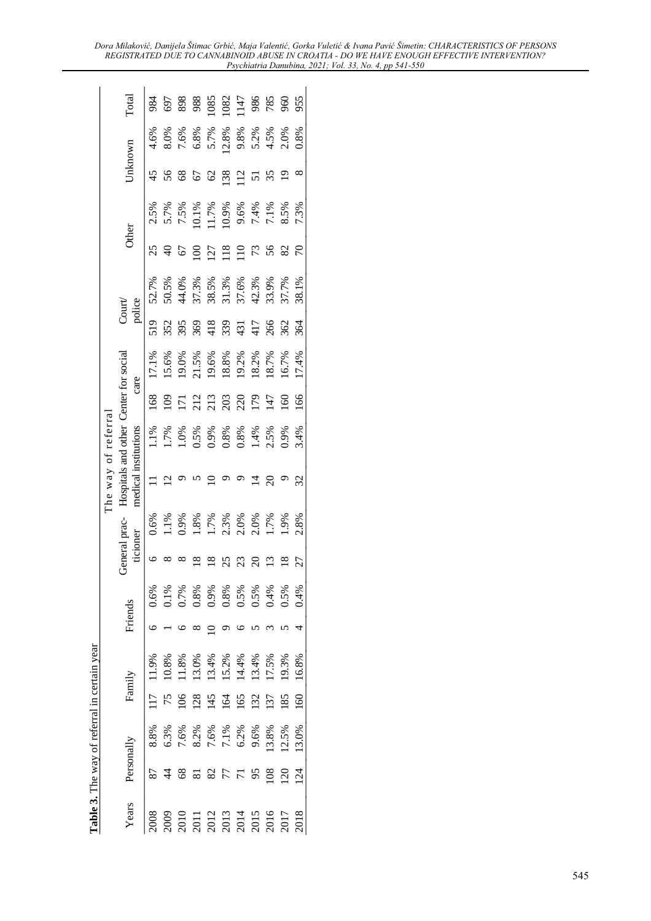|              |                 |              |                 | Table 3. The way of referral in certain year |                      |                 |                                                                                                 |                      |                                                                                                     |                   |                                           |                                                                          |                                                 |                 |                                                                |                |                                                                                            |                        |
|--------------|-----------------|--------------|-----------------|----------------------------------------------|----------------------|-----------------|-------------------------------------------------------------------------------------------------|----------------------|-----------------------------------------------------------------------------------------------------|-------------------|-------------------------------------------|--------------------------------------------------------------------------|-------------------------------------------------|-----------------|----------------------------------------------------------------|----------------|--------------------------------------------------------------------------------------------|------------------------|
|              |                 |              |                 |                                              |                      |                 |                                                                                                 | The way of referra   |                                                                                                     |                   |                                           |                                                                          |                                                 |                 |                                                                |                |                                                                                            |                        |
| Years        |                 | Personally   |                 | Family                                       | Friends              |                 | eneral prac-<br>ticioner                                                                        | medical institutions | Hospitals and other Center for social                                                               |                   | care                                      |                                                                          | police<br>$\text{Court}$                        | Other           |                                                                | Unknown        |                                                                                            | Total                  |
| 2008         |                 | 8.8%         |                 | 11.9%                                        | 0.6%                 | ╰               | 0.6%                                                                                            | Ξ                    | 1.1%                                                                                                | $\frac{8}{9}$     | 17.1%                                     | 519                                                                      | 52.7%                                           | 25              |                                                                | 45             | 4.6%                                                                                       |                        |
| 2009         |                 | 6.3%         |                 | 10.8%                                        | $0.1\%$              |                 |                                                                                                 |                      | 1.7%                                                                                                | ව                 | 15.6%                                     | 352                                                                      | 50.5%<br>44.0%<br>57.3%,5%<br>58.5%,8%,8%,8%,9% | $\overline{a}$  | 2.5%<br>5.7%<br>6.7% % 0.0%<br>6.8% % 7.1%<br>7.1% 7.1% % 8.5% | 56             |                                                                                            | 8688882788888888888888 |
| 2010         | 8               | 7.6%         |                 | 11.8%                                        | 0.7%                 |                 | $1.1\%$<br>$0.9\%$<br>$0.8\%$<br>$1.7\%$<br>$0.3\%$<br>$0.0\%$<br>$0.7\%$<br>$0.9\%$<br>$0.9\%$ |                      |                                                                                                     | $\overline{\Xi}$  | 19.0%                                     | 395                                                                      |                                                 |                 |                                                                | $\frac{8}{3}$  | 8.0%<br>7.6%<br>5.7%                                                                       |                        |
| 2011         |                 |              | 28              | 13.0%                                        | 0.8%                 | $\overline{8}$  |                                                                                                 |                      |                                                                                                     | 212               |                                           | 369                                                                      |                                                 | $\infty$        |                                                                | 67             |                                                                                            |                        |
| 2012         |                 | 8.2%<br>7.6% | $\overline{45}$ | 13.4%                                        |                      | ≌               |                                                                                                 |                      |                                                                                                     |                   |                                           |                                                                          |                                                 | 27              |                                                                | 2              |                                                                                            |                        |
| 2013<br>2014 | 77              |              | 164             |                                              | 0.8%<br>0.5%<br>0.5% | 25              |                                                                                                 |                      | $\begin{array}{l} 1.0\% \\ 1.5\% \\ 0.5\% \\ 0.8\% \\ 0.8\% \\ 0.4\% \\ 0.9\% \\ 0.9\% \end{array}$ | 213<br>203<br>179 | 21.5%<br>19.6%<br>18.8%<br>19.2%<br>18.7% |                                                                          |                                                 | 18              |                                                                | 138            |                                                                                            |                        |
|              |                 | 7.1%<br>6.2% | 65              | $15.2\%$<br>14.4%<br>13.4%                   |                      | 23              |                                                                                                 |                      |                                                                                                     |                   |                                           |                                                                          |                                                 | $\overline{10}$ |                                                                | $\overline{c}$ |                                                                                            |                        |
| 2015         | 95              | 9.6%         | 132             |                                              |                      | $\Omega$        |                                                                                                 |                      |                                                                                                     |                   |                                           |                                                                          |                                                 | 73              |                                                                |                |                                                                                            |                        |
| 2016         | 108             | 13.8%        | 137             | 17.5%                                        |                      | $\frac{3}{2}$   |                                                                                                 | $\Omega$             |                                                                                                     | 147               |                                           |                                                                          |                                                 | 56              |                                                                | 35             |                                                                                            |                        |
| 2017         | 120             | 12.5%        | 185             | 19.3%                                        | 0.5%                 | $\overline{18}$ |                                                                                                 |                      |                                                                                                     | 60                | 16.7%                                     | $\frac{28}{33}$<br>$\frac{27}{33}$<br>$\frac{27}{36}$<br>$\frac{26}{36}$ | 37.7%                                           | 82              |                                                                | $\overline{9}$ | $\begin{array}{l} 2.8\% \\ 2.8\% \\ 9.8\% \\ 9.7\% \\ 1.5\% \\ 0.8\% \\ 0.8\% \end{array}$ |                        |
| 2018         | $\overline{24}$ | 13.0%        | $\overline{60}$ | 16.8%                                        | 0.4%                 | 27              | 2.8%                                                                                            | 32                   | 3.4%                                                                                                | 991               | 17.4%                                     | 364                                                                      | 38.1%                                           | $\overline{C}$  | 7.3%                                                           | ∞              |                                                                                            |                        |
|              |                 |              |                 |                                              |                      |                 |                                                                                                 |                      |                                                                                                     |                   |                                           |                                                                          |                                                 |                 |                                                                |                |                                                                                            |                        |

*Dora MilDNRYLü'DQLMHODâWLPDF\*UELü, Maja 9DOHQWLü, Gorka VuletLü & ,YDQD3DYLüâimetin: CHARACTERISTICS OF PERSONS REGISTRATED DUE TO CANNABINOID ABUSE IN CROATIA - DO WE HAVE ENOUGH EFFECTIVE INTERVENTION? Psychiatria Danubina, 2021; Vol. 33, No. 4, pp 541-550*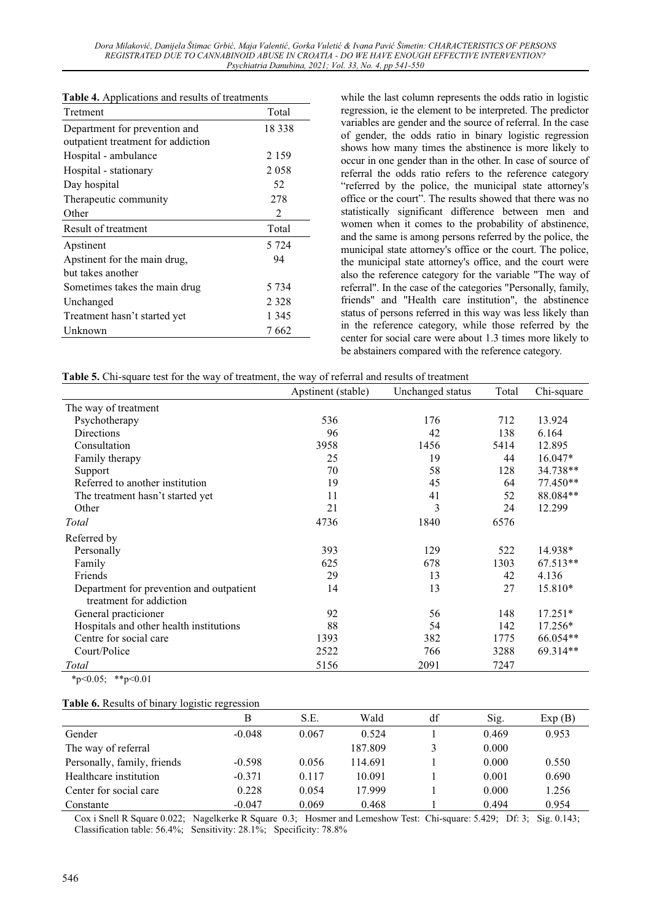*Dora MilDNRYLü'DQLMHODâWLPDF\*UELü, Maja 9DOHQWLü, Gorka VuletLü & ,YDQD3DYLüâimetin: CHARACTERISTICS OF PERSONS REGISTRATED DUE TO CANNABINOID ABUSE IN CROATIA - DO WE HAVE ENOUGH EFFECTIVE INTERVENTION? Psychiatria Danubina, 2021; Vol. 33, No. 4, pp 541-550* 

| Tretment                           | Total          |
|------------------------------------|----------------|
| Department for prevention and      | 18 338         |
| outpatient treatment for addiction |                |
| Hospital - ambulance               | 2 1 5 9        |
| Hospital - stationary              | 2 0 5 8        |
| Day hospital                       | 52             |
| Therapeutic community              | 278            |
| Other                              | $\mathfrak{D}$ |
| Result of treatment                | Total          |
| Apstinent                          | 5 7 2 4        |
| Apstinent for the main drug,       | 94             |
| but takes another                  |                |
| Sometimes takes the main drug      | 5 734          |
| Unchanged                          | 2 3 2 8        |
| Treatment hasn't started yet       | 1 345          |
| Unknown                            | 7 662          |

while the last column represents the odds ratio in logistic regression, ie the element to be interpreted. The predictor variables are gender and the source of referral. In the case of gender, the odds ratio in binary logistic regression shows how many times the abstinence is more likely to occur in one gender than in the other. In case of source of referral the odds ratio refers to the reference category "referred by the police, the municipal state attorney's office or the court". The results showed that there was no statistically significant difference between men and women when it comes to the probability of abstinence, and the same is among persons referred by the police, the municipal state attorney's office or the court. The police, the municipal state attorney's office, and the court were also the reference category for the variable "The way of referral". In the case of the categories "Personally, family, friends" and "Health care institution", the abstinence status of persons referred in this way was less likely than in the reference category, while those referred by the center for social care were about 1.3 times more likely to be abstainers compared with the reference category.

| <b>Table 5.</b> Chi-square test for the way of treatment, the way of referral and results of treatment |  |  |
|--------------------------------------------------------------------------------------------------------|--|--|
|--------------------------------------------------------------------------------------------------------|--|--|

|                                                                     | Apstinent (stable) | Unchanged status | Total | Chi-square |
|---------------------------------------------------------------------|--------------------|------------------|-------|------------|
| The way of treatment                                                |                    |                  |       |            |
| Psychotherapy                                                       | 536                | 176              | 712   | 13.924     |
| Directions                                                          | 96                 | 42               | 138   | 6.164      |
| Consultation                                                        | 3958               | 1456             | 5414  | 12.895     |
| Family therapy                                                      | 25                 | 19               | 44    | $16.047*$  |
| Support                                                             | 70                 | 58               | 128   | 34.738**   |
| Referred to another institution                                     | 19                 | 45               | 64    | $77.450**$ |
| The treatment hasn't started yet                                    | 11                 | 41               | 52    | 88.084**   |
| Other                                                               | 21                 | 3                | 24    | 12.299     |
| Total                                                               | 4736               | 1840             | 6576  |            |
| Referred by                                                         |                    |                  |       |            |
| Personally                                                          | 393                | 129              | 522   | 14.938*    |
| Family                                                              | 625                | 678              | 1303  | 67.513**   |
| Friends                                                             | 29                 | 13               | 42    | 4.136      |
| Department for prevention and outpatient<br>treatment for addiction | 14                 | 13               | 27    | 15.810*    |
| General practicioner                                                | 92                 | 56               | 148   | $17.251*$  |
| Hospitals and other health institutions                             | 88                 | 54               | 142   | $17.256*$  |
| Centre for social care                                              | 1393               | 382              | 1775  | 66.054**   |
| Court/Police                                                        | 2522               | 766              | 3288  | 69.314**   |
| Total<br>$0.07 \pm 0.01$                                            | 5156               | 2091             | 7247  |            |

 $*_{p<0.05}$ ;  $*_{p<0.01}$ 

#### **Table 6.** Results of binary logistic regression

| В        | S.E.  | Wald    | df | Sig.  | Exp(B) |
|----------|-------|---------|----|-------|--------|
| $-0.048$ | 0.067 | 0.524   |    | 0.469 | 0.953  |
|          |       | 187.809 |    | 0.000 |        |
| $-0.598$ | 0.056 | 114.691 |    | 0.000 | 0.550  |
| $-0.371$ | 0.117 | 10.091  |    | 0.001 | 0.690  |
| 0.228    | 0.054 | 17.999  |    | 0.000 | 1.256  |
| $-0.047$ | 0.069 | 0.468   |    | 0.494 | 0.954  |
|          |       |         |    |       |        |

Cox i Snell R Square 0.022; Nagelkerke R Square 0.3; Hosmer and Lemeshow Test: Chi-square: 5.429; Df: 3; Sig. 0.143; Classification table: 56.4%; Sensitivity: 28.1%; Specificity: 78.8%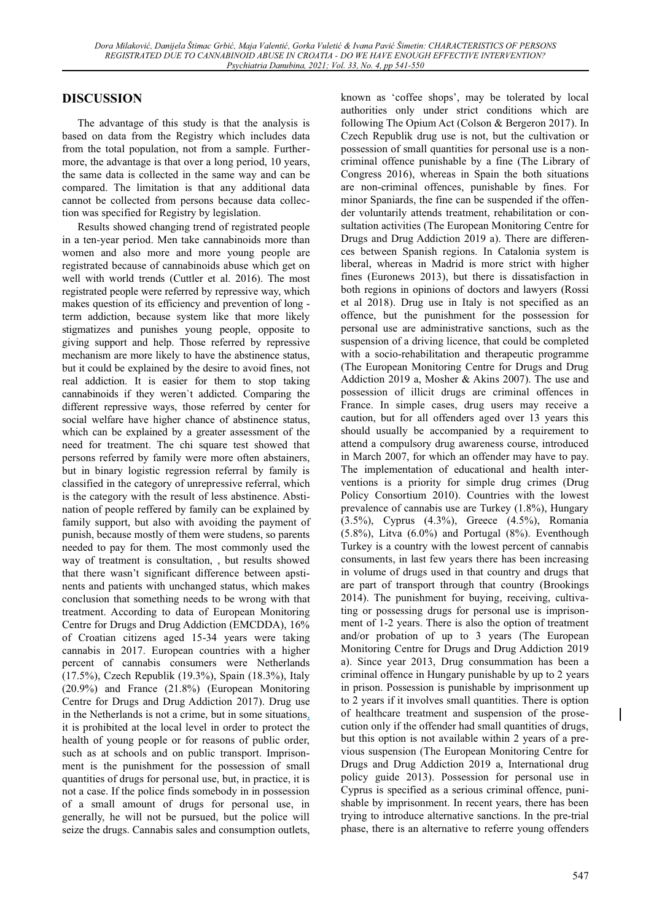# **DISCUSSION**

The advantage of this study is that the analysis is based on data from the Registry which includes data from the total population, not from a sample. Furthermore, the advantage is that over a long period, 10 years, the same data is collected in the same way and can be compared. The limitation is that any additional data cannot be collected from persons because data collection was specified for Registry by legislation.

Results showed changing trend of registrated people in a ten-year period. Men take cannabinoids more than women and also more and more young people are registrated because of cannabinoids abuse which get on well with world trends (Cuttler et al. 2016). The most registrated people were referred by repressive way, which makes question of its efficiency and prevention of long term addiction, because system like that more likely stigmatizes and punishes young people, opposite to giving support and help. Those referred by repressive mechanism are more likely to have the abstinence status, but it could be explained by the desire to avoid fines, not real addiction. It is easier for them to stop taking cannabinoids if they weren`t addicted. Comparing the different repressive ways, those referred by center for social welfare have higher chance of abstinence status, which can be explained by a greater assessment of the need for treatment. The chi square test showed that persons referred by family were more often abstainers, but in binary logistic regression referral by family is classified in the category of unrepressive referral, which is the category with the result of less abstinence. Abstination of people reffered by family can be explained by family support, but also with avoiding the payment of punish, because mostly of them were studens, so parents needed to pay for them. The most commonly used the way of treatment is consultation, , but results showed that there wasn't significant difference between apstinents and patients with unchanged status, which makes conclusion that something needs to be wrong with that treatment. According to data of European Monitoring Centre for Drugs and Drug Addiction (EMCDDA), 16% of Croatian citizens aged 15-34 years were taking cannabis in 2017. European countries with a higher percent of cannabis consumers were Netherlands (17.5%), Czech Republik (19.3%), Spain (18.3%), Italy (20.9%) and France (21.8%) (European Monitoring Centre for Drugs and Drug Addiction 2017). Drug use in the Netherlands is not a crime, but in some situations, it is prohibited at the local level in order to protect the health of young people or for reasons of public order, such as at schools and on public transport. Imprisonment is the punishment for the possession of small quantities of drugs for personal use, but, in practice, it is not a case. If the police finds somebody in in possession of a small amount of drugs for personal use, in generally, he will not be pursued, but the police will seize the drugs. Cannabis sales and consumption outlets,

known as 'coffee shops', may be tolerated by local authorities only under strict conditions which are following The Opium Act (Colson & Bergeron 2017). In Czech Republik drug use is not, but the cultivation or possession of small quantities for personal use is a noncriminal offence punishable by a fine (The Library of Congress 2016), whereas in Spain the both situations are non-criminal offences, punishable by fines. For minor Spaniards, the fine can be suspended if the offender voluntarily attends treatment, rehabilitation or consultation activities (The European Monitoring Centre for Drugs and Drug Addiction 2019 a). There are differences between Spanish regions. In Catalonia system is liberal, whereas in Madrid is more strict with higher fines (Euronews 2013), but there is dissatisfaction in both regions in opinions of doctors and lawyers (Rossi et al 2018). Drug use in Italy is not specified as an offence, but the punishment for the possession for personal use are administrative sanctions, such as the suspension of a driving licence, that could be completed with a socio-rehabilitation and therapeutic programme (The European Monitoring Centre for Drugs and Drug Addiction 2019 a, Mosher & Akins 2007). The use and possession of illicit drugs are criminal offences in France. In simple cases, drug users may receive a caution, but for all offenders aged over 13 years this should usually be accompanied by a requirement to attend a compulsory drug awareness course, introduced in March 2007, for which an offender may have to pay. The implementation of educational and health interventions is a priority for simple drug crimes (Drug Policy Consortium 2010). Countries with the lowest prevalence of cannabis use are Turkey (1.8%), Hungary (3.5%), Cyprus (4.3%), Greece (4.5%), Romania  $(5.8\%)$ , Litva  $(6.0\%)$  and Portugal  $(8\%)$ . Eventhough Turkey is a country with the lowest percent of cannabis consuments, in last few years there has been increasing in volume of drugs used in that country and drugs that are part of transport through that country (Brookings 2014). The punishment for buying, receiving, cultivating or possessing drugs for personal use is imprisonment of 1-2 years. There is also the option of treatment and/or probation of up to 3 years (The European Monitoring Centre for Drugs and Drug Addiction 2019 a). Since year 2013, Drug consummation has been a criminal offence in Hungary punishable by up to 2 years in prison. Possession is punishable by imprisonment up to 2 years if it involves small quantities. There is option of healthcare treatment and suspension of the prosecution only if the offender had small quantities of drugs, but this option is not available within 2 years of a previous suspension (The European Monitoring Centre for Drugs and Drug Addiction 2019 a, International drug policy guide 2013). Possession for personal use in Cyprus is specified as a serious criminal offence, punishable by imprisonment. In recent years, there has been trying to introduce alternative sanctions. In the pre-trial phase, there is an alternative to referre young offenders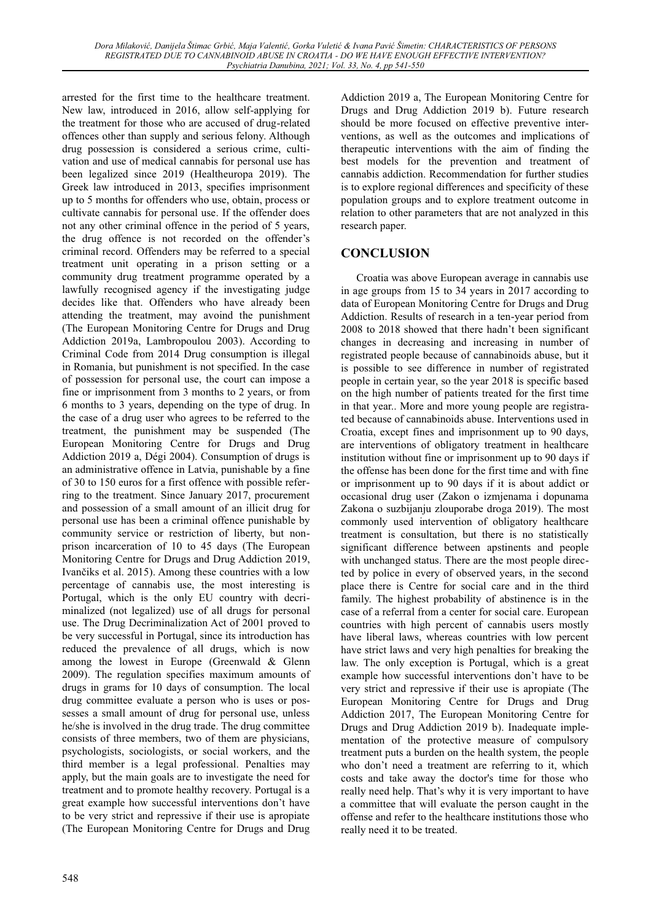arrested for the first time to the healthcare treatment. New law, introduced in 2016, allow self-applying for the treatment for those who are accused of drug-related offences other than supply and serious felony. Although drug possession is considered a serious crime, cultivation and use of medical cannabis for personal use has been legalized since 2019 (Healtheuropa 2019). The Greek law introduced in 2013, specifies imprisonment up to 5 months for offenders who use, obtain, process or cultivate cannabis for personal use. If the offender does not any other criminal offence in the period of 5 years, the drug offence is not recorded on the offender's criminal record. Offenders may be referred to a special treatment unit operating in a prison setting or a community drug treatment programme operated by a lawfully recognised agency if the investigating judge decides like that. Offenders who have already been attending the treatment, may avoind the punishment (The European Monitoring Centre for Drugs and Drug Addiction 2019a, Lambropoulou 2003). According to Criminal Code from 2014 Drug consumption is illegal in Romania, but punishment is not specified. In the case of possession for personal use, the court can impose a fine or imprisonment from 3 months to 2 years, or from 6 months to 3 years, depending on the type of drug. In the case of a drug user who agrees to be referred to the treatment, the punishment may be suspended (The European Monitoring Centre for Drugs and Drug Addiction 2019 a, Dégi 2004). Consumption of drugs is an administrative offence in Latvia, punishable by a fine of 30 to 150 euros for a first offence with possible referring to the treatment. Since January 2017, procurement and possession of a small amount of an illicit drug for personal use has been a criminal offence punishable by community service or restriction of liberty, but nonprison incarceration of 10 to 45 days (The European Monitoring Centre for Drugs and Drug Addiction 2019, Ivančiks et al. 2015). Among these countries with a low percentage of cannabis use, the most interesting is Portugal, which is the only EU country with decriminalized (not legalized) use of all drugs for personal use. The Drug Decriminalization Act of 2001 proved to be very successful in Portugal, since its introduction has reduced the prevalence of all drugs, which is now among the lowest in Europe (Greenwald & Glenn 2009). The regulation specifies maximum amounts of drugs in grams for 10 days of consumption. The local drug committee evaluate a person who is uses or possesses a small amount of drug for personal use, unless he/she is involved in the drug trade. The drug committee consists of three members, two of them are physicians, psychologists, sociologists, or social workers, and the third member is a legal professional. Penalties may apply, but the main goals are to investigate the need for treatment and to promote healthy recovery. Portugal is a great example how successful interventions don't have to be very strict and repressive if their use is apropiate (The European Monitoring Centre for Drugs and Drug

548

Addiction 2019 a, The European Monitoring Centre for Drugs and Drug Addiction 2019 b). Future research should be more focused on effective preventive interventions, as well as the outcomes and implications of therapeutic interventions with the aim of finding the best models for the prevention and treatment of cannabis addiction. Recommendation for further studies is to explore regional differences and specificity of these population groups and to explore treatment outcome in relation to other parameters that are not analyzed in this research paper.

## **CONCLUSION**

Croatia was above European average in cannabis use in age groups from 15 to 34 years in 2017 according to data of European Monitoring Centre for Drugs and Drug Addiction. Results of research in a ten-year period from 2008 to 2018 showed that there hadn't been significant changes in decreasing and increasing in number of registrated people because of cannabinoids abuse, but it is possible to see difference in number of registrated people in certain year, so the year 2018 is specific based on the high number of patients treated for the first time in that year.. More and more young people are registrated because of cannabinoids abuse. Interventions used in Croatia, except fines and imprisonment up to 90 days, are interventions of obligatory treatment in healthcare institution without fine or imprisonment up to 90 days if the offense has been done for the first time and with fine or imprisonment up to 90 days if it is about addict or occasional drug user (Zakon o izmjenama i dopunama Zakona o suzbijanju zlouporabe droga 2019). The most commonly used intervention of obligatory healthcare treatment is consultation, but there is no statistically significant difference between apstinents and people with unchanged status. There are the most people directed by police in every of observed years, in the second place there is Centre for social care and in the third family. The highest probability of abstinence is in the case of a referral from a center for social care. European countries with high percent of cannabis users mostly have liberal laws, whereas countries with low percent have strict laws and very high penalties for breaking the law. The only exception is Portugal, which is a great example how successful interventions don't have to be very strict and repressive if their use is apropiate (The European Monitoring Centre for Drugs and Drug Addiction 2017, The European Monitoring Centre for Drugs and Drug Addiction 2019 b). Inadequate implementation of the protective measure of compulsory treatment puts a burden on the health system, the people who don't need a treatment are referring to it, which costs and take away the doctor's time for those who really need help. That's why it is very important to have a committee that will evaluate the person caught in the offense and refer to the healthcare institutions those who really need it to be treated.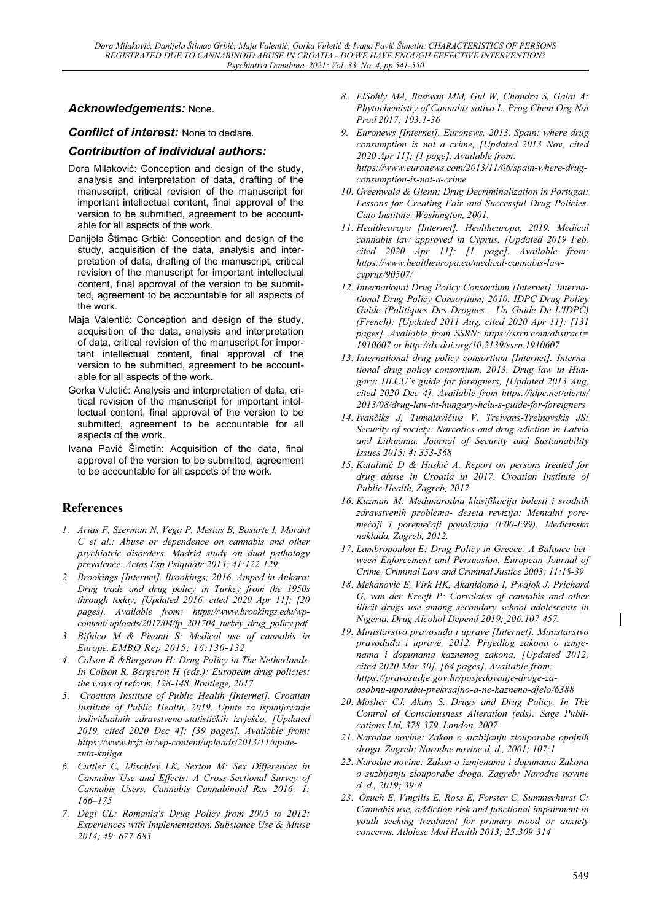### *Acknowledgements:* None.

*Conflict of interest:* None to declare.

#### *Contribution of individual authors:*

- Dora Milaković: Conception and design of the study, analysis and interpretation of data, drafting of the manuscript, critical revision of the manuscript for important intellectual content, final approval of the version to be submitted, agreement to be accountable for all aspects of the work.
- Daniiela Štimac Grbić: Conception and design of the study, acquisition of the data, analysis and interpretation of data, drafting of the manuscript, critical revision of the manuscript for important intellectual content, final approval of the version to be submitted, agreement to be accountable for all aspects of the work.
- Maja Valentić: Conception and design of the study, acquisition of the data, analysis and interpretation of data, critical revision of the manuscript for important intellectual content, final approval of the version to be submitted, agreement to be accountable for all aspects of the work.
- Gorka Vuletić: Analysis and interpretation of data, critical revision of the manuscript for important intellectual content, final approval of the version to be submitted, agreement to be accountable for all aspects of the work.
- Ivana Pavić Šimetin: Acquisition of the data, final approval of the version to be submitted, agreement to be accountable for all aspects of the work.

### **References**

- *1. Arias F, Szerman N, Vega P, Mesias B, Basurte I, Morant C et al.: Abuse or dependence on cannabis and other psychiatric disorders. Madrid study on dual pathology prevalence. Actas Esp Psiquiatr 2013; 41:122-129*
- *2. Brookings [Internet]. Brookings; 2016. Amped in Ankara: Drug trade and drug policy in Turkey from the 1950s through today; [Updated 2016, cited 2020 Apr 11]; [20 pages]. Available from: https://www.brookings.edu/wpcontent/ uploads/2017/04/fp\_201704\_turkey\_drug\_policy.pdf*
- *3. Bifulco M & Pisanti S: Medical use of cannabis in Europe. EMBO Rep 2015; 16:130-132*
- *4. Colson R &Bergeron H: Drug Policy in The Netherlands. In Colson R, Bergeron H (eds.): European drug policies: the ways of reform, 128-148. Routlege, 2017*
- *5. Croatian Institute of Public Health [Internet]. Croatian Institute of Public Health, 2019. Upute za ispunjavanje individualnih zdravstveno-statističkih izvješća, [Updated 2019, cited 2020 Dec 4]; [39 pages]. Available from: https://www.hzjz.hr/wp-content/uploads/2013/11/uputezuta-knjiga*
- *6. Cuttler C, Mischley LK, Sexton M: Sex Differences in Cannabis Use and Effects: A Cross-Sectional Survey of Cannabis Users. Cannabis Cannabinoid Res 2016; 1: 166±175*
- *7. Dégi CL: Romania's Drug Policy from 2005 to 2012: Experiences with Implementation. Substance Use & Miuse 2014; 49: 677-683*
- *8. ElSohly MA, Radwan MM, Gul W, Chandra S, Galal A: Phytochemistry of Cannabis sativa L. Prog Chem Org Nat Prod 2017; 103:1-36*
- *9. Euronews [Internet]. Euronews, 2013. Spain: where drug consumption is not a crime, [Updated 2013 Nov, cited 2020 Apr 11]; [1 page]. Available from: https://www.euronews.com/2013/11/06/spain-where-drugconsumption-is-not-a-crime*
- *10. Greenwald & Glenn: Drug Decriminalization in Portugal: Lessons for Creating Fair and Successful Drug Policies. Cato Institute, Washington, 2001.*
- *11. Healtheuropa [Internet]. Healtheuropa, 2019. Medical cannabis law approved in Cyprus, [Updated 2019 Feb, cited 2020 Apr 11]; [1 page]. Available from: https://www.healtheuropa.eu/medical-cannabis-lawcyprus/90507/*
- *12. International Drug Policy Consortium [Internet]. International Drug Policy Consortium; 2010. IDPC Drug Policy Guide (Politiques Des Drogues - Un Guide De L'IDPC) (French); [Updated 2011 Aug, cited 2020 Apr 11]; [131 pages]. Available from SSRN: https://ssrn.com/abstract= 1910607 or http://dx.doi.org/10.2139/ssrn.1910607*
- *13. International drug policy consortium [Internet]. International drug policy consortium, 2013. Drug law in Hun*gary: HLCU's guide for foreigners, [Updated 2013 Aug, *cited 2020 Dec 4]. Available from https://idpc.net/alerts/ 2013/08/drug-law-in-hungary-hclu-s-guide-for-foreigners*
- 14. *Ivančiks J, Tumalavičius V, Treivans-Treinovskis JS*: *Security of society: Narcotics and drug adiction in Latvia and Lithuania. Journal of Security and Sustainability Issues 2015; 4: 353-368*
- 15. Katalinić D & Huskić A. Report on persons treated for *drug abuse in Croatia in 2017. Croatian Institute of Public Health, Zagreb, 2017*
- 16. Kuzman M: Međunarodna klasifikacija bolesti i srodnih *zdravstvenih problema- deseta revizija: Mentalni pore-PHüDML L SRUHPHüDML SRQDãDQMa (F00-F99). Medicinska naklada, Zagreb, 2012.*
- *17. Lambropoulou E: Drug Policy in Greece: A Balance between Enforcement and Persuasion. European Journal of Crime, Criminal Law and Criminal Justice 2003; 11:18-39*
- 18. Mehanović E, Virk HK, Akanidomo I, Pwajok J, Prichard *G, van der Kreeft P: Correlates of cannabis and other illicit drugs use among secondary school adolescents in Nigeria. Drug Alcohol Depend 2019; 206:107-457.*
- 19. Ministarstvo pravosuđa i uprave [Internet]. Ministarstvo *SUDYRGXÿD L XSUDYH 012. Prijedlog zakona o izmjenama i dopunama kaznenog zakona, [Updated 2012, cited 2020 Mar 30]. [64 pages]. Available from: https://pravosudje.gov.hr/posjedovanje-droge-zaosobnu-uporabu-prekrsajno-a-ne-kazneno-djelo/6388*
- *20. Mosher CJ, Akins S. Drugs and Drug Policy. In The Control of Consciousness Alteration (eds): Sage Publications Ltd, 378-379. London, 2007*
- *21. Narodne novine: Zakon o suzbijanju zlouporabe opojnih droga. Zagreb: Narodne novine d. d., 2001; 107:1*
- *22. Narodne novine: Zakon o izmjenama i dopunama Zakona o suzbijanju zlouporabe droga. Zagreb: Narodne novine d. d., 2019; 39:8*
- *23. Osuch E, Vingilis E, Ross E, Forster C, Summerhurst C: Cannabis use, addiction risk and functional impairment in youth seeking treatment for primary mood or anxiety concerns. Adolesc Med Health 2013; 25:309-314*